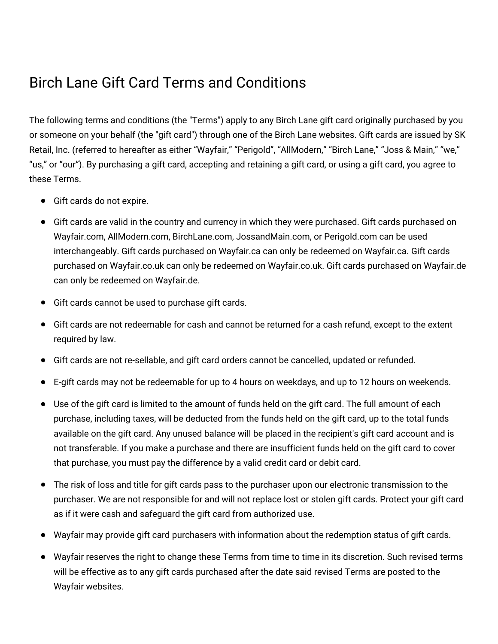## Birch Lane Gift Card Terms and Conditions

The following terms and conditions (the "Terms") apply to any Birch Lane gift card originally purchased by you or someone on your behalf (the "gift card") through one of the Birch Lane websites. Gift cards are issued by SK Retail, Inc. (referred to hereafter as either "Wayfair," "Perigold", "AllModern," "Birch Lane," "Joss & Main," "we," "us," or "our"). By purchasing a gift card, accepting and retaining a gift card, or using a gift card, you agree to these Terms.

- Gift cards do not expire.
- Gift cards are valid in the country and currency in which they were purchased. Gift cards purchased on Wayfair.com, AllModern.com, BirchLane.com, JossandMain.com, or Perigold.com can be used interchangeably. Gift cards purchased on Wayfair.ca can only be redeemed on Wayfair.ca. Gift cards purchased on Wayfair.co.uk can only be redeemed on Wayfair.co.uk. Gift cards purchased on Wayfair.de can only be redeemed on Wayfair.de.
- Gift cards cannot be used to purchase gift cards.
- Gift cards are not redeemable for cash and cannot be returned for a cash refund, except to the extent required by law.
- Gift cards are not re-sellable, and gift card orders cannot be cancelled, updated or refunded.
- E-gift cards may not be redeemable for up to 4 hours on weekdays, and up to 12 hours on weekends.
- Use of the gift card is limited to the amount of funds held on the gift card. The full amount of each purchase, including taxes, will be deducted from the funds held on the gift card, up to the total funds available on the gift card. Any unused balance will be placed in the recipient's gift card account and is not transferable. If you make a purchase and there are insufficient funds held on the gift card to cover that purchase, you must pay the difference by a valid credit card or debit card.
- The risk of loss and title for gift cards pass to the purchaser upon our electronic transmission to the purchaser. We are not responsible for and will not replace lost or stolen gift cards. Protect your gift card as if it were cash and safeguard the gift card from authorized use.
- Wayfair may provide gift card purchasers with information about the redemption status of gift cards.
- Wayfair reserves the right to change these Terms from time to time in its discretion. Such revised terms will be effective as to any gift cards purchased after the date said revised Terms are posted to the Wayfair websites.